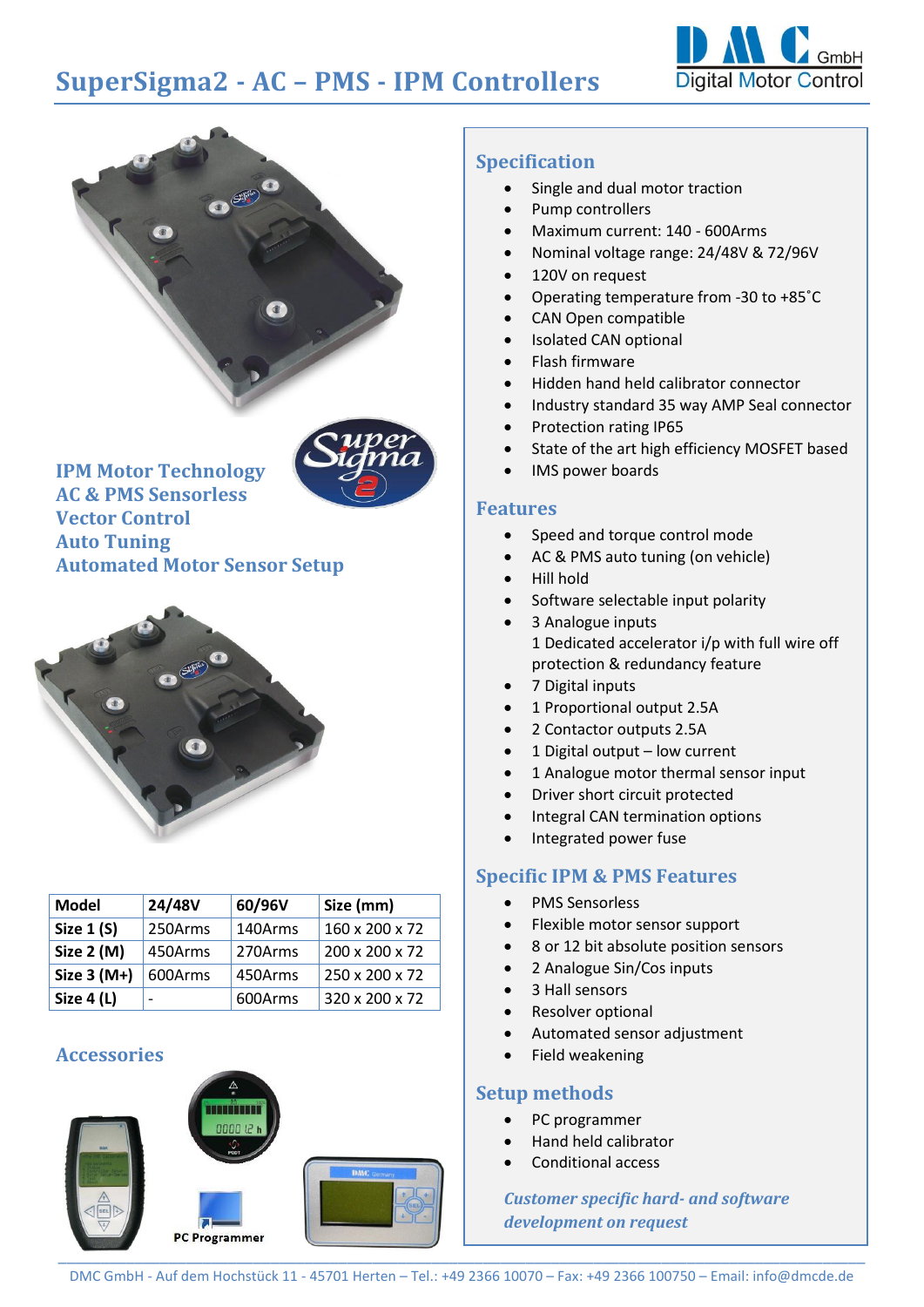# **SuperSigma2 - AC – PMS - IPM Controllers**





**IPM Motor Technology**

**AC & PMS Sensorless Vector Control Auto Tuning Automated Motor Sensor Setup**



| <b>Model</b>      | 24/48V  | 60/96V  | Size (mm)      |
|-------------------|---------|---------|----------------|
| <b>Size 1 (S)</b> | 250Arms | 140Arms | 160 x 200 x 72 |
| Size 2 (M)        | 450Arms | 270Arms | 200 x 200 x 72 |
| Size $3(M+)$      | 600Arms | 450Arms | 250 x 200 x 72 |
| Size 4 (L)        |         | 600Arms | 320 x 200 x 72 |

# **Accessories**



#### **Specification**

- Single and dual motor traction
- Pump controllers
- Maximum current: 140 600Arms
- Nominal voltage range: 24/48V & 72/96V
- 120V on request
- Operating temperature from -30 to +85˚C
- CAN Open compatible
- Isolated CAN optional
- Flash firmware
- Hidden hand held calibrator connector
- Industry standard 35 way AMP Seal connector
- Protection rating IP65
- State of the art high efficiency MOSFET based
- IMS power boards

#### **Features**

- Speed and torque control mode
- AC & PMS auto tuning (on vehicle)
- Hill hold
- Software selectable input polarity
- 3 Analogue inputs 1 Dedicated accelerator i/p with full wire off protection & redundancy feature
- 7 Digital inputs
- 1 Proportional output 2.5A
- 2 Contactor outputs 2.5A
- 1 Digital output low current
- 1 Analogue motor thermal sensor input
- Driver short circuit protected
- Integral CAN termination options
- Integrated power fuse

## **Specific IPM & PMS Features**

- PMS Sensorless
- Flexible motor sensor support
- 8 or 12 bit absolute position sensors
- 2 Analogue Sin/Cos inputs
- 3 Hall sensors
- Resolver optional
- Automated sensor adjustment
- Field weakening

## **Setup methods**

- PC programmer
- Hand held calibrator
- Conditional access

*Customer specific hard- and software development on request*